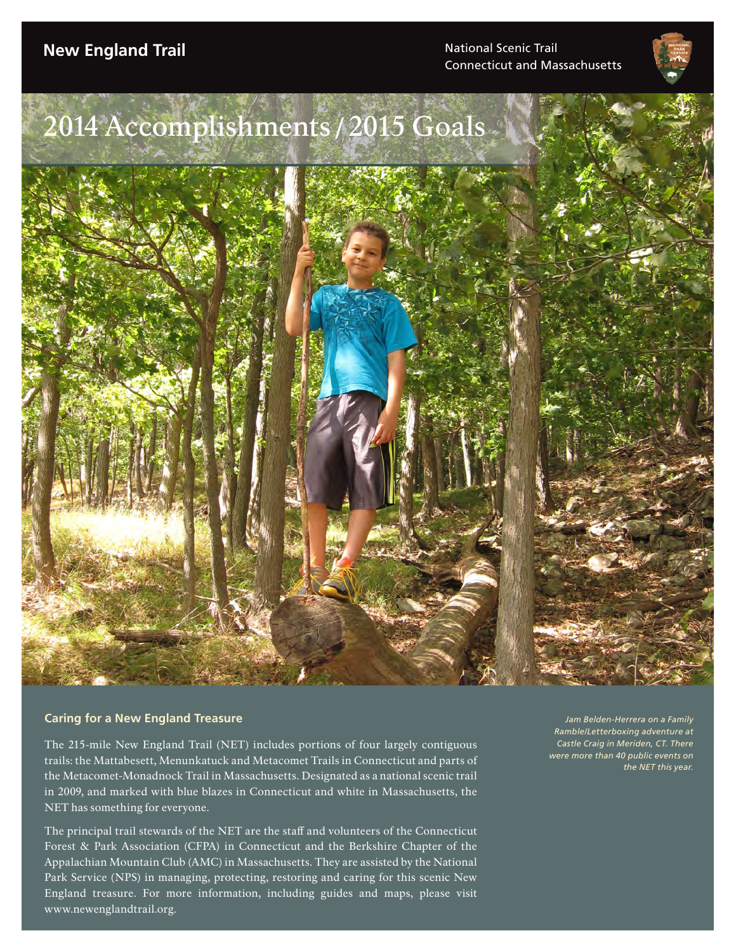Connecticut and Massachusetts

# 2014 Accomplishments /2015 Goals

#### **Caring for a New England Treasure**

The 215-mile New England Trail (NET) includes portions of four largely contiguous trails: the Mattabesett, Menunkatuck and Metacomet Trails in Connecticut and parts of the Metacomet-Monadnock Trail in Massachusetts. Designated as a national scenic trail in 2009, and marked with blue blazes in Connecticut and white in Massachusetts, the NET has something for everyone.

The principal trail stewards of the NET are the staff and volunteers of the Connecticut Forest & Park Association (CFPA) in Connecticut and the Berkshire Chapter of the Appalachian Mountain Club (AMC) in Massachusetts. They are assisted by the National Park Service (NPS) in managing, protecting, restoring and caring for this scenic New England treasure. For more information, including guides and maps, please visit www.newenglandtrail.org.

*Jam Belden-Herrera on a Family Ramble/Letterboxing adventure at Castle Craig in Meriden, CT. There were more than 40 public events on the NET this year.*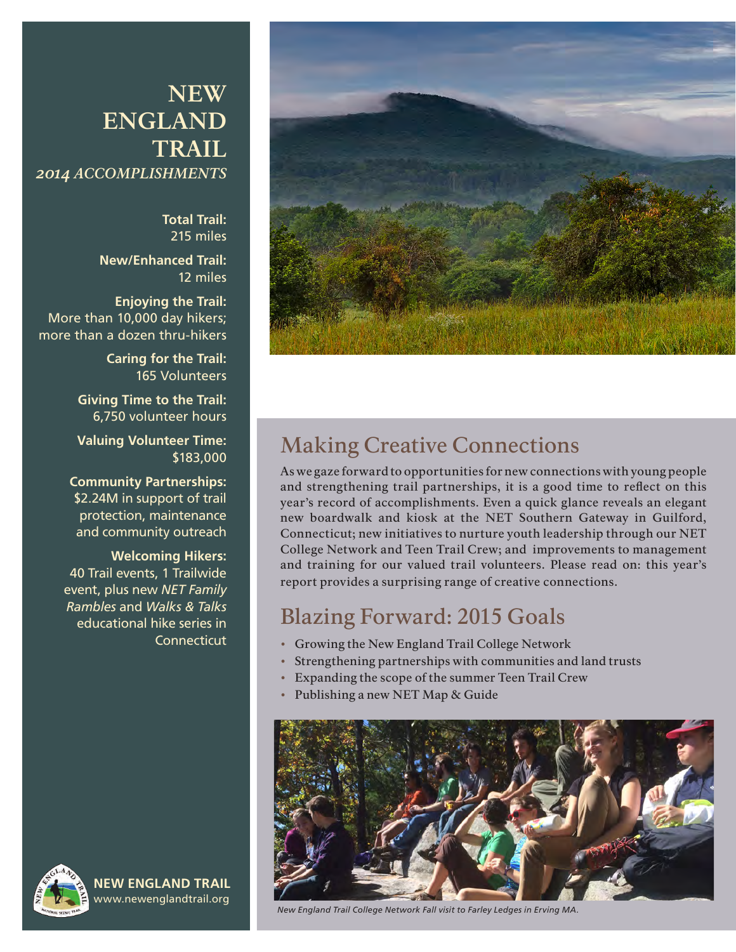## **NEW ENGLAND TRAIL** *2014 ACCOMPLISHMENTS*

**Total Trail:** 215 miles

**New/Enhanced Trail:** 12 miles

**Enjoying the Trail:** More than 10,000 day hikers; more than a dozen thru-hikers

> **Caring for the Trail:** 165 Volunteers

**Giving Time to the Trail:** 6,750 volunteer hours

**Valuing Volunteer Time:** \$183,000

**Community Partnerships:** \$2.24M in support of trail protection, maintenance and community outreach

#### **Welcoming Hikers:**

40 Trail events, 1 Trailwide event, plus new *NET Family Rambles* and *Walks & Talks*  educational hike series in **Connecticut** 



**NEW ENGLAND TRAIL** www.newenglandtrail.org



## Making Creative Connections

As we gaze forward to opportunities for new connections with young people and strengthening trail partnerships, it is a good time to reflect on this year's record of accomplishments. Even a quick glance reveals an elegant new boardwalk and kiosk at the NET Southern Gateway in Guilford, Connecticut; new initiatives to nurture youth leadership through our NET College Network and Teen Trail Crew; and improvements to management and training for our valued trail volunteers. Please read on: this year's report provides a surprising range of creative connections.

### Blazing Forward: 2015 Goals

- Growing the New England Trail College Network
- Strengthening partnerships with communities and land trusts
- Expanding the scope of the summer Teen Trail Crew
- Publishing a new NET Map & Guide



*New England Trail College Network Fall visit to Farley Ledges in Erving MA.*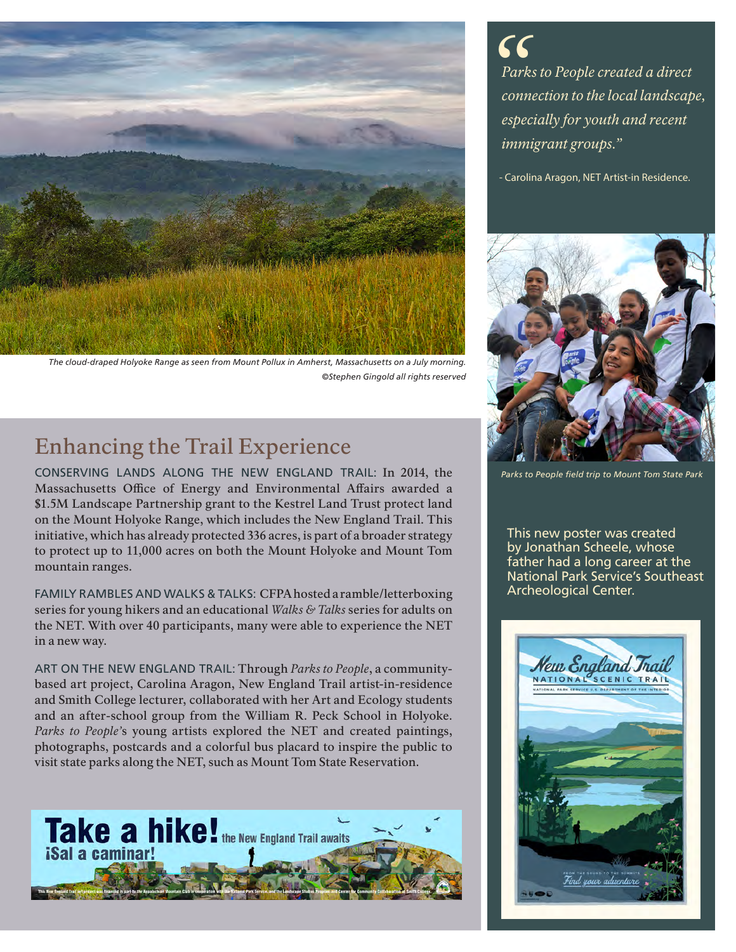

*The cloud-draped Holyoke Range as seen from Mount Pollux in Amherst, Massachusetts on a July morning. ©Stephen Gingold all rights reserved*

# Enhancing the Trail Experience

CONSERVING LANDS ALONG THE NEW ENGLAND TRAIL: In 2014, the Massachusetts Office of Energy and Environmental Affairs awarded a \$1.5M Landscape Partnership grant to the Kestrel Land Trust protect land on the Mount Holyoke Range, which includes the New England Trail. This initiative, which has already protected 336 acres, is part of a broader strategy to protect up to 11,000 acres on both the Mount Holyoke and Mount Tom mountain ranges.

FAMILY RAMBLES AND WALKS & TALKS: CFPA hosted a ramble/letterboxing series for young hikers and an educational *Walks & Talks* series for adults on the NET. With over 40 participants, many were able to experience the NET in a new way.

ART ON THE NEW ENGLAND TRAIL: Through *Parks to People*, a communitybased art project, Carolina Aragon, New England Trail artist-in-residence and Smith College lecturer, collaborated with her Art and Ecology students and an after-school group from the William R. Peck School in Holyoke. *Parks to People'*s young artists explored the NET and created paintings, photographs, postcards and a colorful bus placard to inspire the public to visit state parks along the NET, such as Mount Tom State Reservation.



*Parks to People created a direct connection to the local landscape, especially for youth and recent immigrant groups." "*

- Carolina Aragon, NET Artist-in Residence.



*Parks to People field trip to Mount Tom State Park*

This new poster was created by Jonathan Scheele, whose father had a long career at the National Park Service's Southeast Archeological Center.